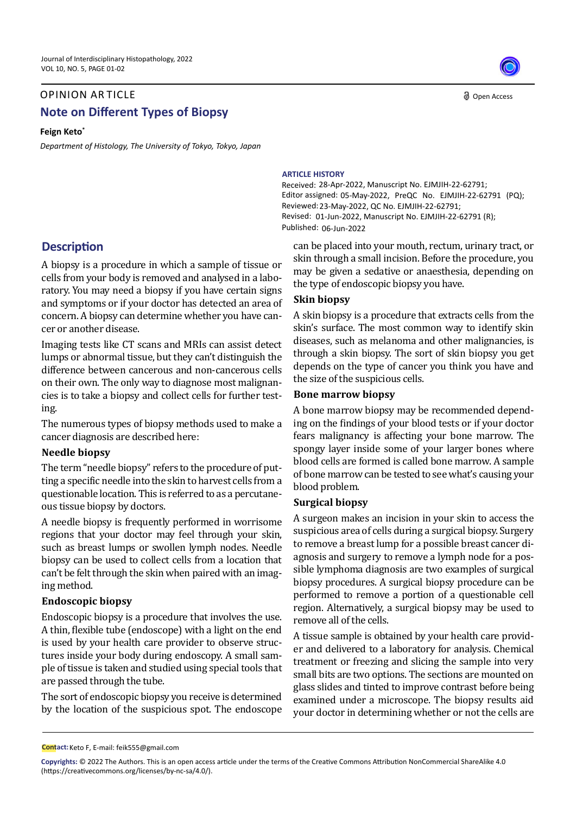# **Note on Different Types of Biopsy** OPINION AR TICLE

**Feign Keto\***

*Department of Histology, The University of Tokyo, Tokyo, Japan* 

# **Description**

A biopsy is a procedure in which a sample of tissue or cells from your body is removed and analysed in a laboratory. You may need a biopsy if you have certain signs and symptoms or if your doctor has detected an area of concern. A biopsy can determine whether you have cancer or another disease.

Imaging tests like CT scans and MRIs can assist detect lumps or abnormal tissue, but they can't distinguish the difference between cancerous and non-cancerous cells on their own. The only way to diagnose most malignancies is to take a biopsy and collect cells for further testing.

The numerous types of biopsy methods used to make a cancer diagnosis are described here:

### **Needle biopsy**

The term "needle biopsy" refers to the procedure of putting a specific needle into the skin to harvest cells from a questionable location. This is referred to as a percutaneous tissue biopsy by doctors.

A needle biopsy is frequently performed in worrisome regions that your doctor may feel through your skin, such as breast lumps or swollen lymph nodes. Needle biopsy can be used to collect cells from a location that can't be felt through the skin when paired with an imaging method.

## **Endoscopic biopsy**

Endoscopic biopsy is a procedure that involves the use. A thin, flexible tube (endoscope) with a light on the end is used by your health care provider to observe structures inside your body during endoscopy. A small sample of tissue is taken and studied using special tools that are passed through the tube.

The sort of endoscopic biopsy you receive is determined by the location of the suspicious spot. The endoscope

Open Access

#### **ARTICLE HISTORY**

Received: 28-Apr-2022, Manuscript No. EJMJIH-22-62791; Editor assigned: 05-May-2022, PreQC No. EJMJIH-22-62791 (PQ); Reviewed: 23-May-2022, QC No. EJMJIH-22-62791; Revised: 01-Jun-2022, Manuscript No. EJMJIH-22-62791 (R); Published: 06-Jun-2022

can be placed into your mouth, rectum, urinary tract, or skin through a small incision. Before the procedure, you may be given a sedative or anaesthesia, depending on the type of endoscopic biopsy you have.

## **Skin biopsy**

A skin biopsy is a procedure that extracts cells from the skin's surface. The most common way to identify skin diseases, such as melanoma and other malignancies, is through a skin biopsy. The sort of skin biopsy you get depends on the type of cancer you think you have and the size of the suspicious cells.

## **Bone marrow biopsy**

A bone marrow biopsy may be recommended depending on the findings of your blood tests or if your doctor fears malignancy is affecting your bone marrow. The spongy layer inside some of your larger bones where blood cells are formed is called bone marrow. A sample of bone marrow can be tested to see what's causing your blood problem.

## **Surgical biopsy**

A surgeon makes an incision in your skin to access the suspicious area of cells during a surgical biopsy. Surgery to remove a breast lump for a possible breast cancer diagnosis and surgery to remove a lymph node for a possible lymphoma diagnosis are two examples of surgical biopsy procedures. A surgical biopsy procedure can be performed to remove a portion of a questionable cell region. Alternatively, a surgical biopsy may be used to remove all of the cells.

A tissue sample is obtained by your health care provider and delivered to a laboratory for analysis. Chemical treatment or freezing and slicing the sample into very small bits are two options. The sections are mounted on glass slides and tinted to improve contrast before being examined under a microscope. The biopsy results aid your doctor in determining whether or not the cells are

**Contact:** Keto F, E-mail: [feik555@gmail.com](mailto:feik555@gmail.com)

**Copyrights:** © 2022 The Authors. This is an open access article under the terms of the Creative Commons Attribution NonCommercial ShareAlike 4.0 (https://creativecommons.org/licenses/by-nc-sa/4.0/).